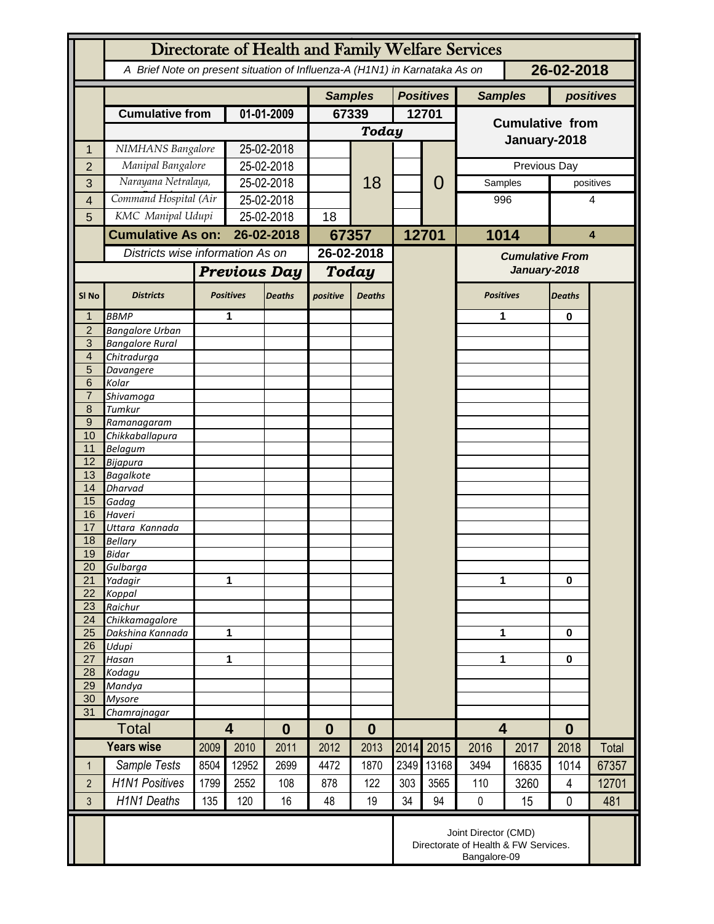|                     | Directorate of Health and Family Welfare Services                                        |                   |                                     |               |              |                                    |       |       |                         |              |                |           |  |
|---------------------|------------------------------------------------------------------------------------------|-------------------|-------------------------------------|---------------|--------------|------------------------------------|-------|-------|-------------------------|--------------|----------------|-----------|--|
|                     | A Brief Note on present situation of Influenza-A (H1N1) in Karnataka As on<br>26-02-2018 |                   |                                     |               |              |                                    |       |       |                         |              |                |           |  |
|                     |                                                                                          |                   |                                     |               |              | <b>Positives</b><br><b>Samples</b> |       |       | <b>Samples</b>          |              | positives      |           |  |
|                     | <b>Cumulative from</b>                                                                   |                   | 01-01-2009                          |               | 67339        |                                    | 12701 |       | <b>Cumulative from</b>  |              |                |           |  |
|                     |                                                                                          |                   |                                     |               | <b>Today</b> |                                    |       |       |                         |              |                |           |  |
| 1                   | NIMHANS Bangalore                                                                        |                   | 25-02-2018                          |               |              |                                    |       |       | January-2018            |              |                |           |  |
| $\overline{2}$      | Manipal Bangalore                                                                        |                   | 25-02-2018                          |               |              |                                    |       |       |                         | Previous Day |                |           |  |
| 3                   | Narayana Netralaya,                                                                      |                   | 25-02-2018                          |               |              | 18                                 |       | 0     | Samples                 |              |                | positives |  |
| 4                   | Command Hospital (Air                                                                    |                   | 25-02-2018                          |               |              |                                    |       |       | 996                     |              | 4              |           |  |
| 5                   |                                                                                          | KMC Manipal Udupi |                                     | 25-02-2018    |              |                                    |       |       |                         |              |                |           |  |
|                     | <b>Cumulative As on:</b>                                                                 |                   | 26-02-2018                          |               | 67357        |                                    |       | 12701 | 1014                    |              | 4              |           |  |
|                     | Districts wise information As on                                                         |                   |                                     |               | 26-02-2018   |                                    |       |       | <b>Cumulative From</b>  |              |                |           |  |
|                     |                                                                                          |                   | <b>Previous Day</b>                 |               | Today        |                                    |       |       | January-2018            |              |                |           |  |
|                     |                                                                                          |                   |                                     |               |              |                                    |       |       |                         |              |                |           |  |
| SI <sub>No</sub>    | <b>Districts</b>                                                                         |                   | <b>Positives</b>                    | <b>Deaths</b> | positive     | <b>Deaths</b>                      |       |       | <b>Positives</b>        |              | <b>Deaths</b>  |           |  |
| 1                   | <b>BBMP</b>                                                                              |                   | 1                                   |               |              |                                    |       |       | 1                       |              | 0              |           |  |
| $\overline{2}$<br>3 | <b>Bangalore Urban</b><br><b>Bangalore Rural</b>                                         |                   |                                     |               |              |                                    |       |       |                         |              |                |           |  |
| $\overline{4}$      | Chitradurga                                                                              |                   |                                     |               |              |                                    |       |       |                         |              |                |           |  |
| 5                   | Davangere                                                                                |                   |                                     |               |              |                                    |       |       |                         |              |                |           |  |
| 6                   | Kolar                                                                                    |                   |                                     |               |              |                                    |       |       |                         |              |                |           |  |
| $\overline{7}$<br>8 | Shivamoga<br>Tumkur                                                                      |                   |                                     |               |              |                                    |       |       |                         |              |                |           |  |
| $9\,$               | Ramanagaram                                                                              |                   |                                     |               |              |                                    |       |       |                         |              |                |           |  |
| 10                  | Chikkaballapura                                                                          |                   |                                     |               |              |                                    |       |       |                         |              |                |           |  |
| 11                  | <b>Belagum</b>                                                                           |                   |                                     |               |              |                                    |       |       |                         |              |                |           |  |
| 12                  | Bijapura                                                                                 |                   |                                     |               |              |                                    |       |       |                         |              |                |           |  |
| 13<br>14            | <b>Bagalkote</b><br>Dharvad                                                              |                   |                                     |               |              |                                    |       |       |                         |              |                |           |  |
| 15                  | Gadag                                                                                    |                   |                                     |               |              |                                    |       |       |                         |              |                |           |  |
| 16                  | Haveri                                                                                   |                   |                                     |               |              |                                    |       |       |                         |              |                |           |  |
| 17                  | Uttara Kannada                                                                           |                   |                                     |               |              |                                    |       |       |                         |              |                |           |  |
| 18<br>19            | <b>Bellary</b>                                                                           |                   |                                     |               |              |                                    |       |       |                         |              |                |           |  |
| 20                  | Bidar<br>Gulbarga                                                                        |                   |                                     |               |              |                                    |       |       |                         |              |                |           |  |
| 21                  | Yadagir                                                                                  |                   | 1                                   |               |              |                                    |       |       | 1                       |              | $\bf{0}$       |           |  |
| 22                  | Koppal                                                                                   |                   |                                     |               |              |                                    |       |       |                         |              |                |           |  |
| 23                  | Raichur                                                                                  |                   |                                     |               |              |                                    |       |       |                         |              |                |           |  |
| 24<br>25            | Chikkamagalore<br>Dakshina Kannada                                                       | 1                 |                                     |               |              |                                    |       |       | 1                       |              | 0              |           |  |
| 26                  | Udupi                                                                                    |                   |                                     |               |              |                                    |       |       |                         |              |                |           |  |
| 27                  | Hasan                                                                                    | 1                 |                                     |               |              |                                    |       |       | 1                       |              | 0              |           |  |
| 28                  | Kodagu                                                                                   |                   |                                     |               |              |                                    |       |       |                         |              |                |           |  |
| 29<br>30            | Mandya<br><b>Mysore</b>                                                                  |                   |                                     |               |              |                                    |       |       |                         |              |                |           |  |
| 31                  | Chamrajnagar                                                                             |                   |                                     |               |              |                                    |       |       |                         |              |                |           |  |
|                     | <b>Total</b>                                                                             |                   | $\overline{\mathbf{4}}$<br>$\bf{0}$ |               | 0            | $\bf{0}$                           |       |       | $\overline{\mathbf{4}}$ |              | $\bf{0}$       |           |  |
|                     | <b>Years wise</b>                                                                        | 2009              | 2010                                | 2011          | 2012         | 2013                               | 2014  | 2015  | 2016                    | 2017         | 2018           | Total     |  |
| $\mathbf{1}$        | Sample Tests                                                                             | 8504              | 12952                               | 2699          | 4472         | 1870                               | 2349  | 13168 | 3494                    | 16835        | 1014           | 67357     |  |
| $\overline{2}$      | <b>H1N1 Positives</b>                                                                    | 1799              | 2552                                | 108           | 878          | 122                                | 303   | 3565  | 110                     | 3260         | $\overline{4}$ | 12701     |  |
| $\overline{3}$      | <b>H1N1 Deaths</b>                                                                       | 135               | 120                                 | 16            | 48           | 19                                 | 34    | 94    | $\pmb{0}$               | 15           | 0              | 481       |  |
|                     |                                                                                          |                   |                                     |               |              |                                    |       |       |                         |              |                |           |  |
|                     | Joint Director (CMD)<br>Directorate of Health & FW Services.<br>Bangalore-09             |                   |                                     |               |              |                                    |       |       |                         |              |                |           |  |